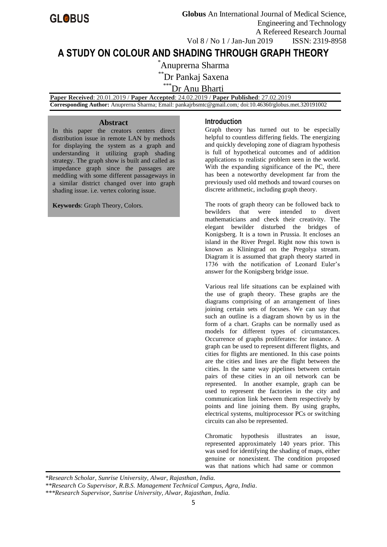

**A STUDY ON COLOUR AND SHADING THROUGH GRAPH THEORY**

\*Anuprerna Sharma

\*\*Dr Pankaj Saxena

\*\*\*Dr Anu Bharti

 **Paper Received**: 20.01.2019 / **Paper Accepted**: 24.02.2019 / **Paper Published**: 27.02.2019

 **Corresponding Author:** Anuprerna Sharma; Email: pankajrbsmtc@gmail.com*;* doi:10.46360/globus.met.320191002

### **Abstract**

In this paper the creators centers direct distribution issue in remote LAN by methods for displaying the system as a graph and understanding it utilizing graph shading strategy. The graph show is built and called as impedance graph since the passages are meddling with some different passageways in a similar district changed over into graph shading issue. i.e. vertex coloring issue.

**Keywords**: Graph Theory, Colors.

### **Introduction**

Graph theory has turned out to be especially helpful to countless differing fields. The energizing and quickly developing zone of diagram hypothesis is full of hypothetical outcomes and of addition applications to realistic problem seen in the world. With the expanding significance of the PC, there has been a noteworthy development far from the previously used old methods and toward courses on discrete arithmetic, including graph theory.

The roots of graph theory can be followed back to bewilders that were intended to divert mathematicians and check their creativity. The elegant bewilder disturbed the bridges of Konigsberg. It is a town in Prussia. It encloses an island in the River Pregel. Right now this town is known as Kliningrad on the Pregolya stream. Diagram it is assumed that graph theory started in 1736 with the notification of Leonard Euler's answer for the Konigsberg bridge issue.

Various real life situations can be explained with the use of graph theory. These graphs are the diagrams comprising of an arrangement of lines joining certain sets of focuses. We can say that such an outline is a diagram shown by us in the form of a chart. Graphs can be normally used as models for different types of circumstances. Occurrence of graphs proliferates: for instance. A graph can be used to represent different flights, and cities for flights are mentioned. In this case points are the cities and lines are the flight between the cities. In the same way pipelines between certain pairs of these cities in an oil network can be represented. In another example, graph can be used to represent the factories in the city and communication link between them respectively by points and line joining them. By using graphs, electrical systems, multiprocessor PCs or switching circuits can also be represented.

Chromatic hypothesis illustrates an issue, represented approximately 140 years prior. This was used for identifying the shading of maps, either genuine or nonexistent. The condition proposed was that nations which had same or common

*<sup>\*</sup>Research Scholar, Sunrise University, Alwar, Rajasthan, India.*

*<sup>\*\*</sup>Research Co Supervisor, R.B.S. Management Technical Campus, Agra, India.*

*<sup>\*\*\*</sup>Research Supervisor, Sunrise University, Alwar, Rajasthan, India.*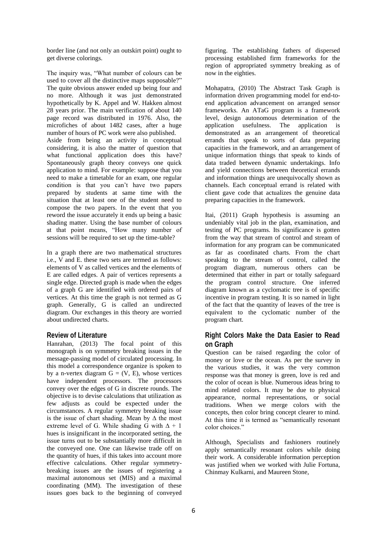border line (and not only an outskirt point) ought to get diverse colorings.

The inquiry was, "What number of colours can be used to cover all the distinctive maps supposable?" The quite obvious answer ended up being four and no more. Although it was just demonstrated hypothetically by K. Appel and W. Hakken almost 28 years prior. The main verification of about 140 page record was distributed in 1976. Also, the microfiches of about 1482 cases, after a huge number of hours of PC work were also published. Aside from being an activity in conceptual considering, it is also the matter of question that what functional application does this have? Spontaneously graph theory conveys one quick application to mind. For example: suppose that you need to make a timetable for an exam, one regular condition is that you can't have two papers prepared by students at same time with the situation that at least one of the student need to compose the two papers. In the event that you reword the issue accurately it ends up being a basic shading matter. Using the base number of colours at that point means, "How many number of sessions will be required to set up the time-table?

In a graph there are two mathematical structures i.e., V and E. these two sets are termed as follows: elements of V as called vertices and the elements of E are called edges. A pair of vertices represents a single edge. Directed graph is made when the edges of a graph G are identified with ordered pairs of vertices. At this time the graph is not termed as G graph. Generally, G is called an undirected diagram. Our exchanges in this theory are worried about undirected charts.

### **Review of Literature**

Hanrahan, (2013) The focal point of this monograph is on symmetry breaking issues in the message-passing model of circulated processing. In this model a correspondence organize is spoken to by a n-vertex diagram  $G = (V, E)$ , whose vertices have independent processors. The processors convey over the edges of G in discrete rounds. The objective is to devise calculations that utilization as few adjusts as could be expected under the circumstances. A regular symmetry breaking issue is the issue of chart shading. Mean by ∆ the most extreme level of G. While shading G with  $\Delta + 1$ hues is insignificant in the incorporated setting, the issue turns out to be substantially more difficult in the conveyed one. One can likewise trade off on the quantity of hues, if this takes into account more effective calculations. Other regular symmetrybreaking issues are the issues of registering a maximal autonomous set (MIS) and a maximal coordinating (MM). The investigation of these issues goes back to the beginning of conveyed

figuring. The establishing fathers of dispersed processing established firm frameworks for the region of appropriated symmetry breaking as of now in the eighties.

Mohapatra, (2010) The Abstract Task Graph is information driven programming model for end-toend application advancement on arranged sensor frameworks. An ATaG program is a framework level, design autonomous determination of the application usefulness. The application is demonstrated as an arrangement of theoretical errands that speak to sorts of data preparing capacities in the framework, and an arrangement of unique information things that speak to kinds of data traded between dynamic undertakings. Info and yield connections between theoretical errands and information things are unequivocally shown as channels. Each conceptual errand is related with client gave code that actualizes the genuine data preparing capacities in the framework.

Itai, (2011) Graph hypothesis is assuming an undeniably vital job in the plan, examination, and testing of PC programs. Its significance is gotten from the way that stream of control and stream of information for any program can be communicated as far as coordinated charts. From the chart speaking to the stream of control, called the program diagram, numerous others can be determined that either in part or totally safeguard the program control structure. One inferred diagram known as a cyclomatic tree is of specific incentive in program testing. It is so named in light of the fact that the quantity of leaves of the tree is equivalent to the cyclomatic number of the program chart.

# **Right Colors Make the Data Easier to Read on Graph**

Question can be raised regarding the color of money or love or the ocean. As per the survey in the various studies, it was the very common response was that money is green, love is red and the color of ocean is blue. Numerous ideas bring to mind related colors. It may be due to physical appearance, normal representations, or social traditions. When we merge colors with the concepts, then color bring concept clearer to mind. At this time it is termed as "semantically resonant color choices."

Although, Specialists and fashioners routinely apply semantically resonant colors while doing their work. A considerable information perception was justified when we worked with Julie Fortuna, Chinmay Kulkarni, and Maureen Stone,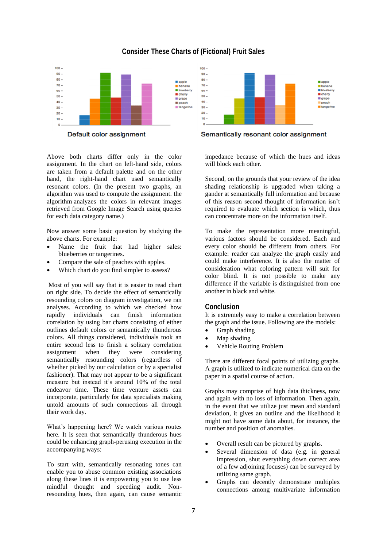

## **Consider These Charts of (Fictional) Fruit Sales**

Default color assignment

Above both charts differ only in the color assignment. In the chart on left-hand side, colors are taken from a default palette and on the other hand, the right-hand chart used semantically resonant colors. (In the present two graphs, an algorithm was used to compute the assignment. the algorithm analyzes the colors in relevant images retrieved from Google Image Search using queries for each data category name.)

Now answer some basic question by studying the above charts. For example:

- Name the fruit that had higher sales: blueberries or tangerines.
- Compare the sale of peaches with apples.
- Which chart do you find simpler to assess?

Most of you will say that it is easier to read chart on right side. To decide the effect of semantically resounding colors on diagram investigation, we ran analyses. According to which we checked how rapidly individuals can finish information correlation by using bar charts consisting of either outlines default colors or semantically thunderous colors. All things considered, individuals took an entire second less to finish a solitary correlation assignment when they were considering semantically resounding colors (regardless of whether picked by our calculation or by a specialist fashioner). That may not appear to be a significant measure but instead it's around 10% of the total endeavor time. These time venture assets can incorporate, particularly for data specialists making untold amounts of such connections all through their work day.

What's happening here? We watch various routes here. It is seen that semantically thunderous hues could be enhancing graph-perusing execution in the accompanying ways:

To start with, semantically resonating tones can enable you to abuse common existing associations along these lines it is empowering you to use less mindful thought and speeding audit. Nonresounding hues, then again, can cause semantic



Semantically resonant color assignment

impedance because of which the hues and ideas will block each other.

Second, on the grounds that your review of the idea shading relationship is upgraded when taking a gander at semantically full information and because of this reason second thought of information isn't required to evaluate which section is which, thus can concentrate more on the information itself.

To make the representation more meaningful, various factors should be considered. Each and every color should be different from others. For example: reader can analyze the graph easily and could make interference. It is also the matter of consideration what coloring pattern will suit for color blind. It is not possible to make any difference if the variable is distinguished from one another in black and white.

### **Conclusion**

It is extremely easy to make a correlation between the graph and the issue. Following are the models:

- Graph shading
- Map shading
- Vehicle Routing Problem

There are different focal points of utilizing graphs. A graph is utilized to indicate numerical data on the paper in a spatial course of action.

Graphs may comprise of high data thickness, now and again with no loss of information. Then again, in the event that we utilize just mean and standard deviation, it gives an outline and the likelihood it might not have some data about, for instance, the number and position of anomalies.

- Overall result can be pictured by graphs.
- Several dimension of data (e.g. in general impression, shut everything down correct area of a few adjoining focuses) can be surveyed by utilizing same graph.
- Graphs can decently demonstrate multiplex connections among multivariate information